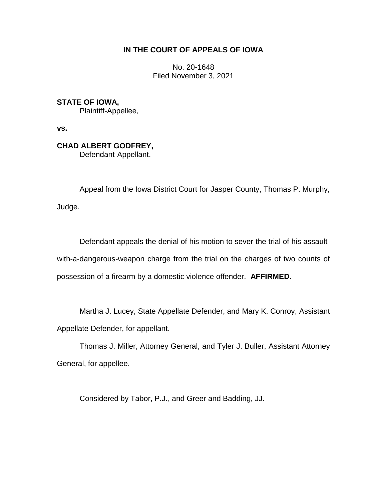# **IN THE COURT OF APPEALS OF IOWA**

No. 20-1648 Filed November 3, 2021

**STATE OF IOWA,** Plaintiff-Appellee,

**vs.**

**CHAD ALBERT GODFREY,** Defendant-Appellant.

Appeal from the Iowa District Court for Jasper County, Thomas P. Murphy, Judge.

\_\_\_\_\_\_\_\_\_\_\_\_\_\_\_\_\_\_\_\_\_\_\_\_\_\_\_\_\_\_\_\_\_\_\_\_\_\_\_\_\_\_\_\_\_\_\_\_\_\_\_\_\_\_\_\_\_\_\_\_\_\_\_\_

Defendant appeals the denial of his motion to sever the trial of his assaultwith-a-dangerous-weapon charge from the trial on the charges of two counts of possession of a firearm by a domestic violence offender. **AFFIRMED.** 

Martha J. Lucey, State Appellate Defender, and Mary K. Conroy, Assistant Appellate Defender, for appellant.

Thomas J. Miller, Attorney General, and Tyler J. Buller, Assistant Attorney General, for appellee.

Considered by Tabor, P.J., and Greer and Badding, JJ.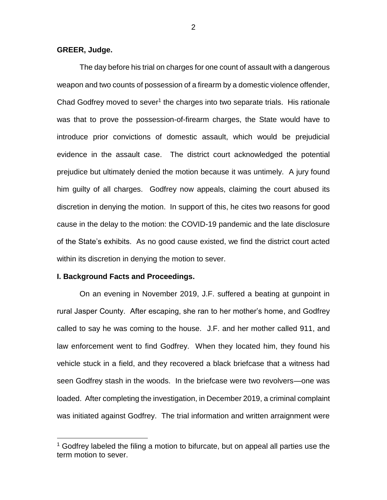### **GREER, Judge.**

The day before his trial on charges for one count of assault with a dangerous weapon and two counts of possession of a firearm by a domestic violence offender, Chad Godfrey moved to sever<sup>1</sup> the charges into two separate trials. His rationale was that to prove the possession-of-firearm charges, the State would have to introduce prior convictions of domestic assault, which would be prejudicial evidence in the assault case. The district court acknowledged the potential prejudice but ultimately denied the motion because it was untimely. A jury found him guilty of all charges. Godfrey now appeals, claiming the court abused its discretion in denying the motion. In support of this, he cites two reasons for good cause in the delay to the motion: the COVID-19 pandemic and the late disclosure of the State's exhibits. As no good cause existed, we find the district court acted within its discretion in denying the motion to sever.

#### **I. Background Facts and Proceedings.**

 $\overline{a}$ 

On an evening in November 2019, J.F. suffered a beating at gunpoint in rural Jasper County. After escaping, she ran to her mother's home, and Godfrey called to say he was coming to the house. J.F. and her mother called 911, and law enforcement went to find Godfrey. When they located him, they found his vehicle stuck in a field, and they recovered a black briefcase that a witness had seen Godfrey stash in the woods. In the briefcase were two revolvers—one was loaded. After completing the investigation, in December 2019, a criminal complaint was initiated against Godfrey. The trial information and written arraignment were

 $1$  Godfrey labeled the filing a motion to bifurcate, but on appeal all parties use the term motion to sever.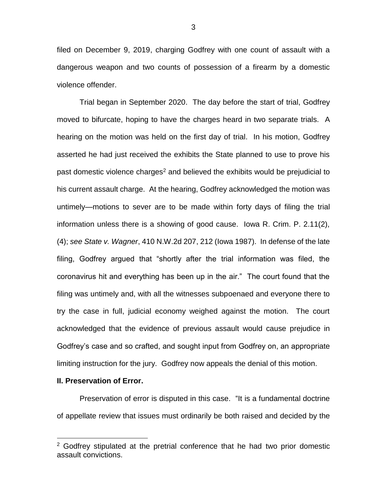filed on December 9, 2019, charging Godfrey with one count of assault with a dangerous weapon and two counts of possession of a firearm by a domestic violence offender.

Trial began in September 2020. The day before the start of trial, Godfrey moved to bifurcate, hoping to have the charges heard in two separate trials. A hearing on the motion was held on the first day of trial. In his motion, Godfrey asserted he had just received the exhibits the State planned to use to prove his past domestic violence charges<sup>2</sup> and believed the exhibits would be prejudicial to his current assault charge. At the hearing, Godfrey acknowledged the motion was untimely—motions to sever are to be made within forty days of filing the trial information unless there is a showing of good cause. Iowa R. Crim. P. 2.11(2), (4); *see State v. Wagner*, 410 N.W.2d 207, 212 (Iowa 1987). In defense of the late filing, Godfrey argued that "shortly after the trial information was filed, the coronavirus hit and everything has been up in the air." The court found that the filing was untimely and, with all the witnesses subpoenaed and everyone there to try the case in full, judicial economy weighed against the motion. The court acknowledged that the evidence of previous assault would cause prejudice in Godfrey's case and so crafted, and sought input from Godfrey on, an appropriate limiting instruction for the jury. Godfrey now appeals the denial of this motion.

#### **II. Preservation of Error.**

 $\overline{a}$ 

Preservation of error is disputed in this case. "It is a fundamental doctrine of appellate review that issues must ordinarily be both raised and decided by the

 $2$  Godfrey stipulated at the pretrial conference that he had two prior domestic assault convictions.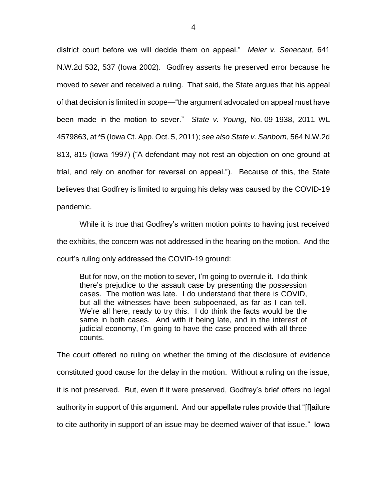district court before we will decide them on appeal." *Meier v. Senecaut*, 641 N.W.2d 532, 537 (Iowa 2002). Godfrey asserts he preserved error because he moved to sever and received a ruling. That said, the State argues that his appeal of that decision is limited in scope—"the argument advocated on appeal must have been made in the motion to sever." *State v. Young*, No. 09-1938, 2011 WL 4579863, at \*5 (Iowa Ct. App. Oct. 5, 2011); *see also State v. Sanborn*, 564 N.W.2d 813, 815 (Iowa 1997) ("A defendant may not rest an objection on one ground at trial, and rely on another for reversal on appeal."). Because of this, the State believes that Godfrey is limited to arguing his delay was caused by the COVID-19 pandemic.

While it is true that Godfrey's written motion points to having just received the exhibits, the concern was not addressed in the hearing on the motion. And the court's ruling only addressed the COVID-19 ground:

But for now, on the motion to sever, I'm going to overrule it. I do think there's prejudice to the assault case by presenting the possession cases. The motion was late. I do understand that there is COVID, but all the witnesses have been subpoenaed, as far as I can tell. We're all here, ready to try this. I do think the facts would be the same in both cases. And with it being late, and in the interest of judicial economy, I'm going to have the case proceed with all three counts.

The court offered no ruling on whether the timing of the disclosure of evidence constituted good cause for the delay in the motion. Without a ruling on the issue, it is not preserved. But, even if it were preserved, Godfrey's brief offers no legal authority in support of this argument. And our appellate rules provide that "[f]ailure to cite authority in support of an issue may be deemed waiver of that issue." Iowa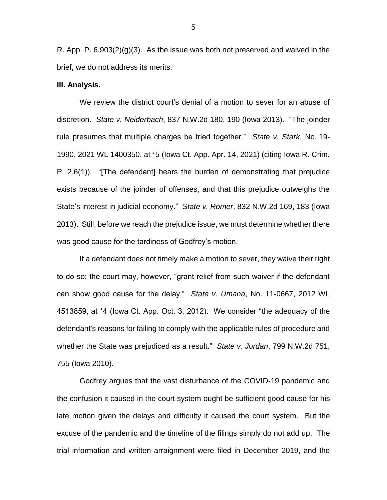R. App. P. 6.903(2)(g)(3). As the issue was both not preserved and waived in the brief, we do not address its merits.

#### **III. Analysis.**

We review the district court's denial of a motion to sever for an abuse of discretion. *State v. Neiderbach*, 837 N.W.2d 180, 190 (Iowa 2013). "The joinder rule presumes that multiple charges be tried together." *State v. Stark*, No. 19- 1990, 2021 WL 1400350, at \*5 (Iowa Ct. App. Apr. 14, 2021) (citing Iowa R. Crim. P. 2.6(1)). "[The defendant] bears the burden of demonstrating that prejudice exists because of the joinder of offenses, and that this prejudice outweighs the State's interest in judicial economy." *State v. Romer*, 832 N.W.2d 169, 183 (Iowa 2013). Still, before we reach the prejudice issue, we must determine whether there was good cause for the tardiness of Godfrey's motion.

If a defendant does not timely make a motion to sever, they waive their right to do so; the court may, however, "grant relief from such waiver if the defendant can show good cause for the delay." *State v. Umana*, No. 11-0667, 2012 WL 4513859, at \*4 (Iowa Ct. App. Oct. 3, 2012). We consider "the adequacy of the defendant's reasons for failing to comply with the applicable rules of procedure and whether the State was prejudiced as a result." *State v. Jordan*, 799 N.W.2d 751, 755 (Iowa 2010).

Godfrey argues that the vast disturbance of the COVID-19 pandemic and the confusion it caused in the court system ought be sufficient good cause for his late motion given the delays and difficulty it caused the court system. But the excuse of the pandemic and the timeline of the filings simply do not add up. The trial information and written arraignment were filed in December 2019, and the

5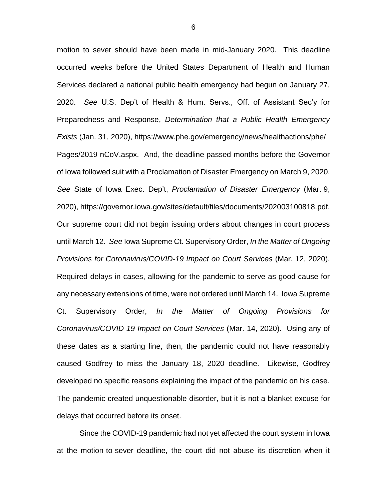motion to sever should have been made in mid-January 2020. This deadline occurred weeks before the United States Department of Health and Human Services declared a national public health emergency had begun on January 27, 2020. *See* U.S. Dep't of Health & Hum. Servs., Off. of Assistant Sec'y for Preparedness and Response, *Determination that a Public Health Emergency Exists* (Jan. 31, 2020), https://www.phe.gov/emergency/news/healthactions/phe/ Pages/2019-nCoV.aspx. And, the deadline passed months before the Governor of Iowa followed suit with a Proclamation of Disaster Emergency on March 9, 2020. *See* State of Iowa Exec. Dep't, *Proclamation of Disaster Emergency* (Mar. 9, 2020), https://governor.iowa.gov/sites/default/files/documents/202003100818.pdf. Our supreme court did not begin issuing orders about changes in court process until March 12. *See* Iowa Supreme Ct. Supervisory Order, *In the Matter of Ongoing Provisions for Coronavirus/COVID-19 Impact on Court Services* (Mar. 12, 2020). Required delays in cases, allowing for the pandemic to serve as good cause for any necessary extensions of time, were not ordered until March 14. Iowa Supreme Ct. Supervisory Order, *In the Matter of Ongoing Provisions for Coronavirus/COVID-19 Impact on Court Services* (Mar. 14, 2020). Using any of these dates as a starting line, then, the pandemic could not have reasonably caused Godfrey to miss the January 18, 2020 deadline. Likewise, Godfrey developed no specific reasons explaining the impact of the pandemic on his case. The pandemic created unquestionable disorder, but it is not a blanket excuse for delays that occurred before its onset.

Since the COVID-19 pandemic had not yet affected the court system in Iowa at the motion-to-sever deadline, the court did not abuse its discretion when it